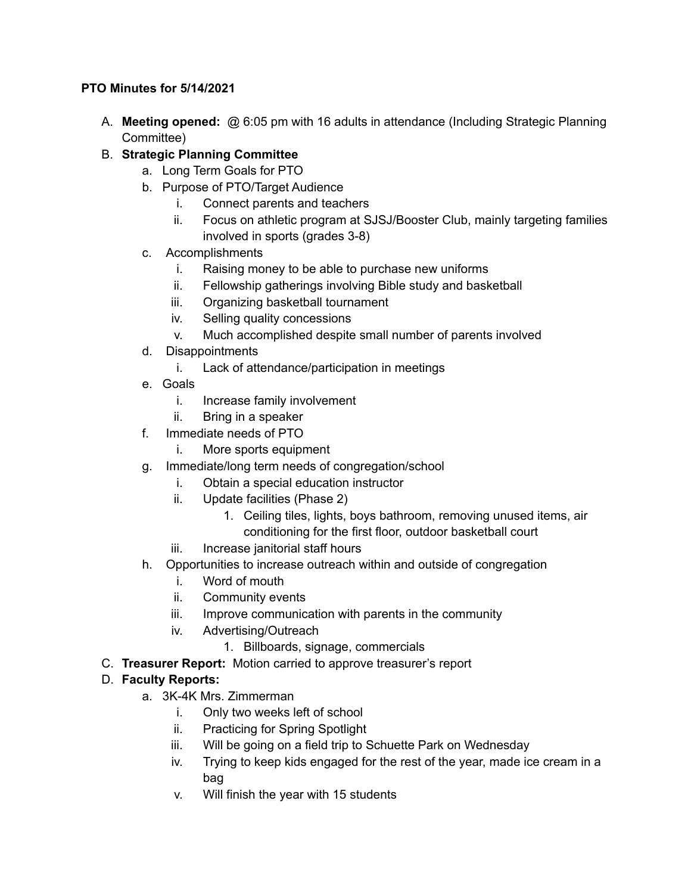## **PTO Minutes for 5/14/2021**

- A. **Meeting opened:** @ 6:05 pm with 16 adults in attendance (Including Strategic Planning Committee)
- B. **Strategic Planning Committee**
	- a. Long Term Goals for PTO
	- b. Purpose of PTO/Target Audience
		- i. Connect parents and teachers
		- ii. Focus on athletic program at SJSJ/Booster Club, mainly targeting families involved in sports (grades 3-8)
	- c. Accomplishments
		- i. Raising money to be able to purchase new uniforms
		- ii. Fellowship gatherings involving Bible study and basketball
		- iii. Organizing basketball tournament
		- iv. Selling quality concessions
		- v. Much accomplished despite small number of parents involved
	- d. Disappointments
		- i. Lack of attendance/participation in meetings
	- e. Goals
		- i. Increase family involvement
		- ii. Bring in a speaker
	- f. Immediate needs of PTO
		- i. More sports equipment
	- g. Immediate/long term needs of congregation/school
		- i. Obtain a special education instructor
		- ii. Update facilities (Phase 2)
			- 1. Ceiling tiles, lights, boys bathroom, removing unused items, air conditioning for the first floor, outdoor basketball court
		- iii. Increase janitorial staff hours
	- h. Opportunities to increase outreach within and outside of congregation
		- i. Word of mouth
		- ii. Community events
		- iii. Improve communication with parents in the community
		- iv. Advertising/Outreach
			- 1. Billboards, signage, commercials
- C. **Treasurer Report:** Motion carried to approve treasurer's report

## D. **Faculty Reports:**

- a. 3K-4K Mrs. Zimmerman
	- i. Only two weeks left of school
	- ii. Practicing for Spring Spotlight
	- iii. Will be going on a field trip to Schuette Park on Wednesday
	- iv. Trying to keep kids engaged for the rest of the year, made ice cream in a bag
	- v. Will finish the year with 15 students